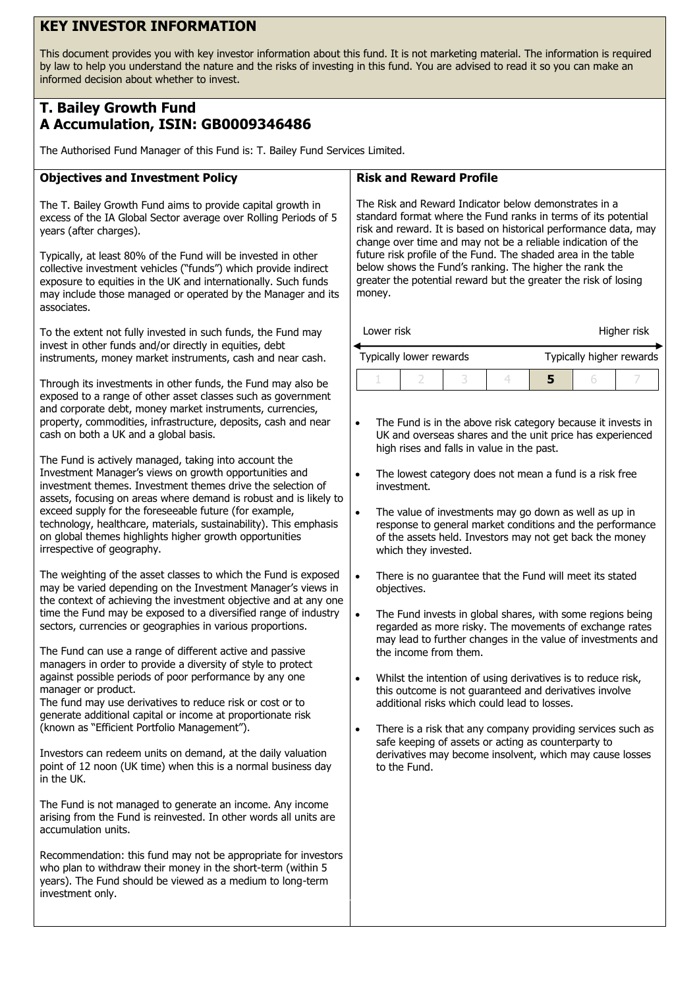# **KEY INVESTOR INFORMATION**

This document provides you with key investor information about this fund. It is not marketing material. The information is required by law to help you understand the nature and the risks of investing in this fund. You are advised to read it so you can make an informed decision about whether to invest.

## **T. Bailey Growth Fund A Accumulation, ISIN: GB0009346486**

The Authorised Fund Manager of this Fund is: T. Bailey Fund Services Limited.

#### **Objectives and Investment Policy**

The T. Bailey Growth Fund aims to provide capital growth in excess of the IA Global Sector average over Rolling Periods of 5 years (after charges).

Typically, at least 80% of the Fund will be invested in other collective investment vehicles ("funds") which provide indirect exposure to equities in the UK and internationally. Such funds may include those managed or operated by the Manager and its associates.

To the extent not fully invested in such funds, the Fund may invest in other funds and/or directly in equities, debt instruments, money market instruments, cash and near cash.

Through its investments in other funds, the Fund may also be exposed to a range of other asset classes such as government and corporate debt, money market instruments, currencies, property, commodities, infrastructure, deposits, cash and near cash on both a UK and a global basis.

The Fund is actively managed, taking into account the Investment Manager's views on growth opportunities and investment themes. Investment themes drive the selection of assets, focusing on areas where demand is robust and is likely to exceed supply for the foreseeable future (for example. technology, healthcare, materials, sustainability). This emphasis on global themes highlights higher growth opportunities irrespective of geography.

The weighting of the asset classes to which the Fund is exposed may be varied depending on the Investment Manager's views in the context of achieving the investment objective and at any one time the Fund may be exposed to a diversified range of industry sectors, currencies or geographies in various proportions.

The Fund can use a range of different active and passive managers in order to provide a diversity of style to protect against possible periods of poor performance by any one manager or product.

The fund may use derivatives to reduce risk or cost or to generate additional capital or income at proportionate risk (known as "Efficient Portfolio Management").

Investors can redeem units on demand, at the daily valuation point of 12 noon (UK time) when this is a normal business day in the UK.

The Fund is not managed to generate an income. Any income arising from the Fund is reinvested. In other words all units are accumulation units.

Recommendation: this fund may not be appropriate for investors who plan to withdraw their money in the short-term (within 5 years). The Fund should be viewed as a medium to long-term investment only.

### **Risk and Reward Profile**

The Risk and Reward Indicator below demonstrates in a standard format where the Fund ranks in terms of its potential risk and reward. It is based on historical performance data, may change over time and may not be a reliable indication of the future risk profile of the Fund. The shaded area in the table below shows the Fund's ranking. The higher the rank the greater the potential reward but the greater the risk of losing money.

Lower risk **Higher risk** 

| Typically lower rewards |  |  |  | Typically higher rewards |  |  |
|-------------------------|--|--|--|--------------------------|--|--|
|                         |  |  |  |                          |  |  |

- The Fund is in the above risk category because it invests in UK and overseas shares and the unit price has experienced high rises and falls in value in the past.
- The lowest category does not mean a fund is a risk free investment.
- The value of investments may go down as well as up in response to general market conditions and the performance of the assets held. Investors may not get back the money which they invested.
- There is no quarantee that the Fund will meet its stated objectives.
- The Fund invests in global shares, with some regions being regarded as more risky. The movements of exchange rates may lead to further changes in the value of investments and the income from them.
- Whilst the intention of using derivatives is to reduce risk, this outcome is not guaranteed and derivatives involve additional risks which could lead to losses.
- There is a risk that any company providing services such as safe keeping of assets or acting as counterparty to derivatives may become insolvent, which may cause losses to the Fund.